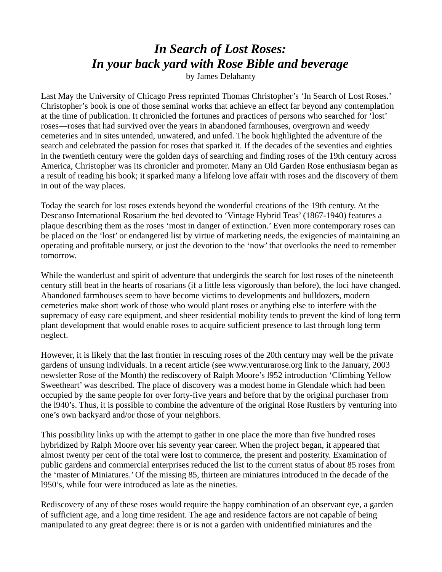## *In Search of Lost Roses: In your back yard with Rose Bible and beverage*

by James Delahanty

Last May the University of Chicago Press reprinted Thomas Christopher's 'In Search of Lost Roses.' Christopher's book is one of those seminal works that achieve an effect far beyond any contemplation at the time of publication. It chronicled the fortunes and practices of persons who searched for 'lost' roses—roses that had survived over the years in abandoned farmhouses, overgrown and weedy cemeteries and in sites untended, unwatered, and unfed. The book highlighted the adventure of the search and celebrated the passion for roses that sparked it. If the decades of the seventies and eighties in the twentieth century were the golden days of searching and finding roses of the 19th century across America, Christopher was its chronicler and promoter. Many an Old Garden Rose enthusiasm began as a result of reading his book; it sparked many a lifelong love affair with roses and the discovery of them in out of the way places.

Today the search for lost roses extends beyond the wonderful creations of the 19th century. At the Descanso International Rosarium the bed devoted to 'Vintage Hybrid Teas' (1867-1940) features a plaque describing them as the roses 'most in danger of extinction.' Even more contemporary roses can be placed on the 'lost' or endangered list by virtue of marketing needs, the exigencies of maintaining an operating and profitable nursery, or just the devotion to the 'now' that overlooks the need to remember tomorrow.

While the wanderlust and spirit of adventure that undergirds the search for lost roses of the nineteenth century still beat in the hearts of rosarians (if a little less vigorously than before), the loci have changed. Abandoned farmhouses seem to have become victims to developments and bulldozers, modern cemeteries make short work of those who would plant roses or anything else to interfere with the supremacy of easy care equipment, and sheer residential mobility tends to prevent the kind of long term plant development that would enable roses to acquire sufficient presence to last through long term neglect.

However, it is likely that the last frontier in rescuing roses of the 20th century may well be the private gardens of unsung individuals. In a recent article (see www.venturarose.org link to the January, 2003 newsletter Rose of the Month) the rediscovery of Ralph Moore's l952 introduction 'Climbing Yellow Sweetheart' was described. The place of discovery was a modest home in Glendale which had been occupied by the same people for over forty-five years and before that by the original purchaser from the l940's. Thus, it is possible to combine the adventure of the original Rose Rustlers by venturing into one's own backyard and/or those of your neighbors.

This possibility links up with the attempt to gather in one place the more than five hundred roses hybridized by Ralph Moore over his seventy year career. When the project began, it appeared that almost twenty per cent of the total were lost to commerce, the present and posterity. Examination of public gardens and commercial enterprises reduced the list to the current status of about 85 roses from the 'master of Miniatures.' Of the missing 85, thirteen are miniatures introduced in the decade of the l950's, while four were introduced as late as the nineties.

Rediscovery of any of these roses would require the happy combination of an observant eye, a garden of sufficient age, and a long time resident. The age and residence factors are not capable of being manipulated to any great degree: there is or is not a garden with unidentified miniatures and the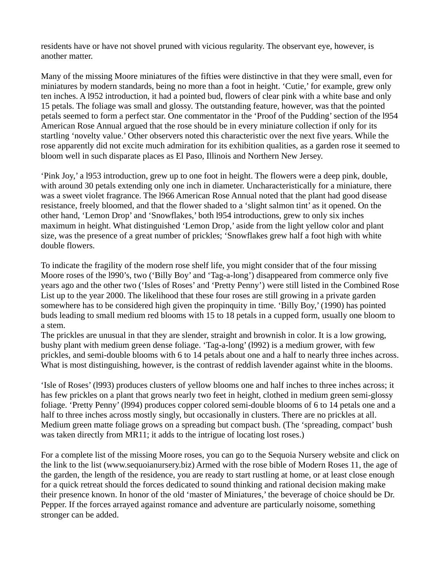residents have or have not shovel pruned with vicious regularity. The observant eye, however, is another matter.

Many of the missing Moore miniatures of the fifties were distinctive in that they were small, even for miniatures by modern standards, being no more than a foot in height. 'Cutie,' for example, grew only ten inches. A l952 introduction, it had a pointed bud, flowers of clear pink with a white base and only 15 petals. The foliage was small and glossy. The outstanding feature, however, was that the pointed petals seemed to form a perfect star. One commentator in the 'Proof of the Pudding' section of the l954 American Rose Annual argued that the rose should be in every miniature collection if only for its startling 'novelty value.' Other observers noted this characteristic over the next five years. While the rose apparently did not excite much admiration for its exhibition qualities, as a garden rose it seemed to bloom well in such disparate places as El Paso, Illinois and Northern New Jersey.

'Pink Joy,' a l953 introduction, grew up to one foot in height. The flowers were a deep pink, double, with around 30 petals extending only one inch in diameter. Uncharacteristically for a miniature, there was a sweet violet fragrance. The l966 American Rose Annual noted that the plant had good disease resistance, freely bloomed, and that the flower shaded to a 'slight salmon tint' as it opened. On the other hand, 'Lemon Drop' and 'Snowflakes,' both l954 introductions, grew to only six inches maximum in height. What distinguished 'Lemon Drop,' aside from the light yellow color and plant size, was the presence of a great number of prickles; 'Snowflakes grew half a foot high with white double flowers.

To indicate the fragility of the modern rose shelf life, you might consider that of the four missing Moore roses of the l990's, two ('Billy Boy' and 'Tag-a-long') disappeared from commerce only five years ago and the other two ('Isles of Roses' and 'Pretty Penny') were still listed in the Combined Rose List up to the year 2000. The likelihood that these four roses are still growing in a private garden somewhere has to be considered high given the propinquity in time. 'Billy Boy,' (1990) has pointed buds leading to small medium red blooms with 15 to 18 petals in a cupped form, usually one bloom to a stem.

The prickles are unusual in that they are slender, straight and brownish in color. It is a low growing, bushy plant with medium green dense foliage. 'Tag-a-long' (l992) is a medium grower, with few prickles, and semi-double blooms with 6 to 14 petals about one and a half to nearly three inches across. What is most distinguishing, however, is the contrast of reddish lavender against white in the blooms.

'Isle of Roses' (l993) produces clusters of yellow blooms one and half inches to three inches across; it has few prickles on a plant that grows nearly two feet in height, clothed in medium green semi-glossy foliage. 'Pretty Penny' (l994) produces copper colored semi-double blooms of 6 to 14 petals one and a half to three inches across mostly singly, but occasionally in clusters. There are no prickles at all. Medium green matte foliage grows on a spreading but compact bush. (The 'spreading, compact' bush was taken directly from MR11; it adds to the intrigue of locating lost roses.)

For a complete list of the missing Moore roses, you can go to the Sequoia Nursery website and click on the link to the list (www.sequoianursery.biz) Armed with the rose bible of Modern Roses 11, the age of the garden, the length of the residence, you are ready to start rustling at home, or at least close enough for a quick retreat should the forces dedicated to sound thinking and rational decision making make their presence known. In honor of the old 'master of Miniatures,' the beverage of choice should be Dr. Pepper. If the forces arrayed against romance and adventure are particularly noisome, something stronger can be added.